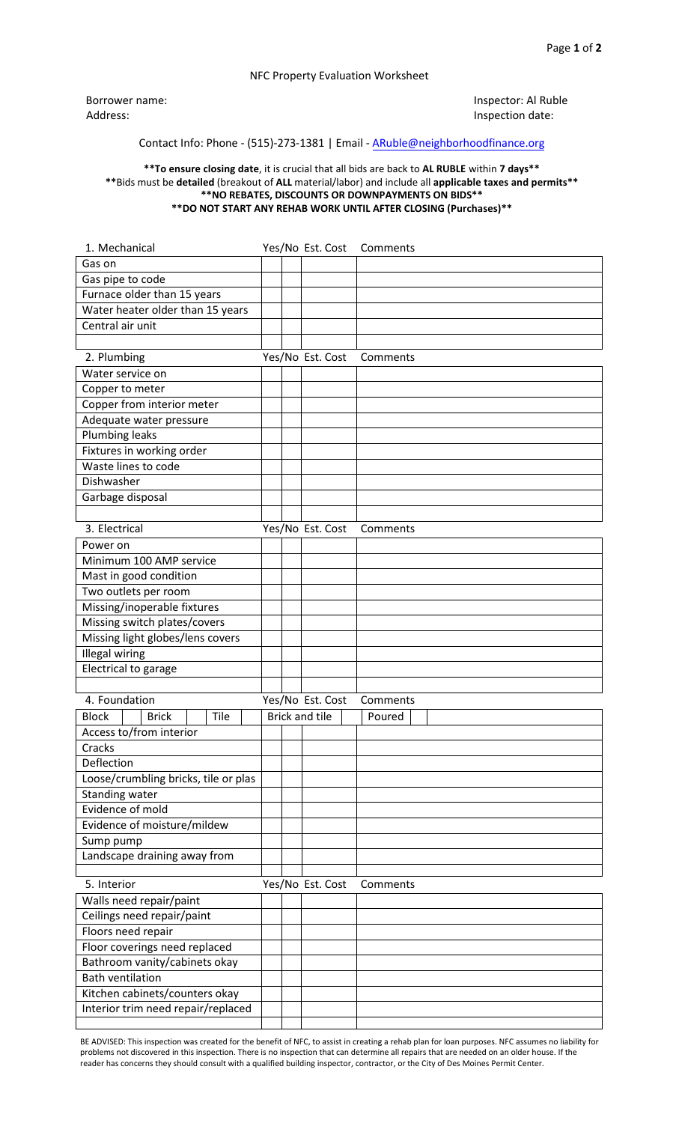## NFC Property Evaluation Worksheet

Borrower name: Address:

Inspector: Al Ruble Inspection date:

## Contact Info: Phone - (515)-273-1381 | Email - ARuble[@neighborhoodfinance.org](mailto:aruble@neighborhoodfinance.org)

## **\*\*To ensure closing date**, it is crucial that all bids are back to **AL RUBLE** within **7 days\*\* \*\***Bids must be **detailed** (breakout of **ALL** material/labor) and include all **applicable taxes and permits\*\* \*\*NO REBATES, DISCOUNTS OR DOWNPAYMENTS ON BIDS\*\* \*\*DO NOT START ANY REHAB WORK UNTIL AFTER CLOSING (Purchases)\*\***

| 1. Mechanical                        |  | Yes/No Est. Cost      | Comments |
|--------------------------------------|--|-----------------------|----------|
| Gas on                               |  |                       |          |
| Gas pipe to code                     |  |                       |          |
| Furnace older than 15 years          |  |                       |          |
| Water heater older than 15 years     |  |                       |          |
| Central air unit                     |  |                       |          |
|                                      |  |                       |          |
| 2. Plumbing                          |  | Yes/No Est. Cost      | Comments |
| Water service on                     |  |                       |          |
| Copper to meter                      |  |                       |          |
| Copper from interior meter           |  |                       |          |
| Adequate water pressure              |  |                       |          |
| <b>Plumbing leaks</b>                |  |                       |          |
| Fixtures in working order            |  |                       |          |
| Waste lines to code                  |  |                       |          |
| Dishwasher                           |  |                       |          |
| Garbage disposal                     |  |                       |          |
|                                      |  |                       |          |
| 3. Electrical                        |  | Yes/No Est. Cost      | Comments |
| Power on                             |  |                       |          |
| Minimum 100 AMP service              |  |                       |          |
| Mast in good condition               |  |                       |          |
| Two outlets per room                 |  |                       |          |
| Missing/inoperable fixtures          |  |                       |          |
| Missing switch plates/covers         |  |                       |          |
| Missing light globes/lens covers     |  |                       |          |
| <b>Illegal wiring</b>                |  |                       |          |
| Electrical to garage                 |  |                       |          |
|                                      |  |                       |          |
| 4. Foundation                        |  | Yes/No Est. Cost      | Comments |
| <b>Block</b><br><b>Brick</b><br>Tile |  | <b>Brick and tile</b> | Poured   |
| Access to/from interior              |  |                       |          |
| Cracks                               |  |                       |          |
| Deflection                           |  |                       |          |
| Loose/crumbling bricks, tile or plas |  |                       |          |
| Standing water                       |  |                       |          |
| Evidence of mold                     |  |                       |          |
| Evidence of moisture/mildew          |  |                       |          |
| Sump pump                            |  |                       |          |
| Landscape draining away from         |  |                       |          |
|                                      |  |                       |          |
| 5. Interior                          |  | Yes/No Est. Cost      | Comments |
| Walls need repair/paint              |  |                       |          |
| Ceilings need repair/paint           |  |                       |          |
| Floors need repair                   |  |                       |          |
| Floor coverings need replaced        |  |                       |          |
| Bathroom vanity/cabinets okay        |  |                       |          |
| <b>Bath ventilation</b>              |  |                       |          |
| Kitchen cabinets/counters okay       |  |                       |          |
| Interior trim need repair/replaced   |  |                       |          |
|                                      |  |                       |          |

BE ADVISED: This inspection was created for the benefit of NFC, to assist in creating a rehab plan for loan purposes. NFC assumes no liability for problems not discovered in this inspection. There is no inspection that can determine all repairs that are needed on an older house. If the reader has concerns they should consult with a qualified building inspector, contractor, or the City of Des Moines Permit Center.